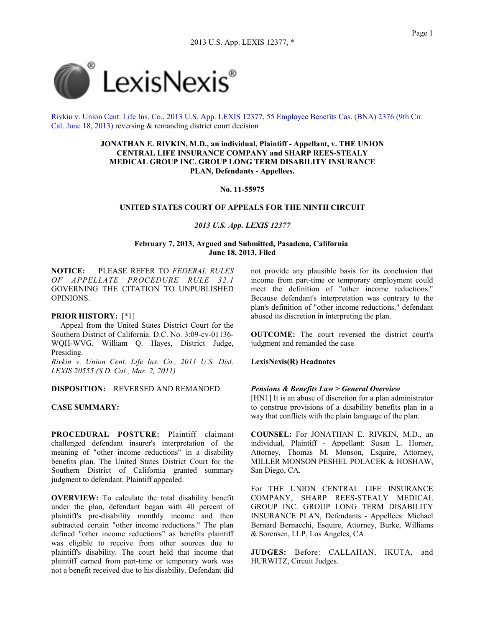

Rivkin v. Union Cent. Life Ins. Co., 2013 U.S. App. LEXIS 12377, 55 Employee Benefits Cas. (BNA) 2376 (9th Cir. Cal. June 18, 2013) reversing & remanding district court decision

> **JONATHAN E. RIVKIN, M.D., an individual, Plaintiff - Appellant, v. THE UNION CENTRAL LIFE INSURANCE COMPANY and SHARP REES-STEALY MEDICAL GROUP INC. GROUP LONG TERM DISABILITY INSURANCE PLAN, Defendants - Appellees.**

## **No. 11-55975**

### **UNITED STATES COURT OF APPEALS FOR THE NINTH CIRCUIT**

#### *2013 U.S. App. LEXIS 12377*

## **February 7, 2013, Argued and Submitted, Pasadena, California June 18, 2013, Filed**

**NOTICE:** PLEASE REFER TO *FEDERAL RULES OF APPELLATE PROCEDURE RULE 32.1* GOVERNING THE CITATION TO UNPUBLISHED OPINIONS.

#### **PRIOR HISTORY:** [\*1]

Appeal from the United States District Court for the Southern District of California. D.C. No. 3:09-cv-01136- WQH-WVG. William Q. Hayes, District Judge, Presiding.

*Rivkin v. Union Cent. Life Ins. Co., 2011 U.S. Dist. LEXIS 20555 (S.D. Cal., Mar. 2, 2011)*

**DISPOSITION:** REVERSED AND REMANDED.

## **CASE SUMMARY:**

**PROCEDURAL POSTURE:** Plaintiff claimant challenged defendant insurer's interpretation of the meaning of "other income reductions" in a disability benefits plan. The United States District Court for the Southern District of California granted summary judgment to defendant. Plaintiff appealed.

**OVERVIEW:** To calculate the total disability benefit under the plan, defendant began with 40 percent of plaintiff's pre-disability monthly income and then subtracted certain "other income reductions." The plan defined "other income reductions" as benefits plaintiff was eligible to receive from other sources due to plaintiff's disability. The court held that income that plaintiff earned from part-time or temporary work was not a benefit received due to his disability. Defendant did not provide any plausible basis for its conclusion that income from part-time or temporary employment could meet the definition of "other income reductions." Because defendant's interpretation was contrary to the plan's definition of "other income reductions," defendant abused its discretion in interpreting the plan.

**OUTCOME:** The court reversed the district court's judgment and remanded the case.

#### **LexisNexis(R) Headnotes**

#### *Pensions & Benefits Law > General Overview*

[HN1] It is an abuse of discretion for a plan administrator to construe provisions of a disability benefits plan in a way that conflicts with the plain language of the plan.

**COUNSEL:** For JONATHAN E. RIVKIN, M.D., an individual, Plaintiff - Appellant: Susan L. Horner, Attorney, Thomas M. Monson, Esquire, Attorney, MILLER MONSON PESHEL POLACEK & HOSHAW, San Diego, CA.

For THE UNION CENTRAL LIFE INSURANCE COMPANY, SHARP REES-STEALY MEDICAL GROUP INC. GROUP LONG TERM DISABILITY INSURANCE PLAN, Defendants - Appellees: Michael Bernard Bernacchi, Esquire, Attorney, Burke, Williams & Sorensen, LLP, Los Angeles, CA.

**JUDGES:** Before: CALLAHAN, IKUTA, and HURWITZ, Circuit Judges.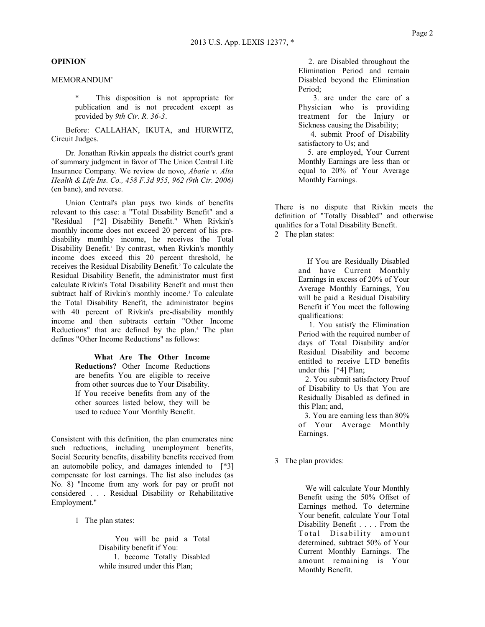## **OPINION**

# MEMORANDUM\*

This disposition is not appropriate for publication and is not precedent except as provided by *9th Cir. R. 36-3*.

Before: CALLAHAN, IKUTA, and HURWITZ, Circuit Judges.

Dr. Jonathan Rivkin appeals the district court's grant of summary judgment in favor of The Union Central Life Insurance Company. We review de novo, *Abatie v. Alta Health & Life Ins. Co., 458 F.3d 955, 962 (9th Cir. 2006)* (en banc), and reverse.

Union Central's plan pays two kinds of benefits relevant to this case: a "Total Disability Benefit" and a "Residual [\*2] Disability Benefit." When Rivkin's monthly income does not exceed 20 percent of his predisability monthly income, he receives the Total Disability Benefit.<sup>1</sup> By contrast, when Rivkin's monthly income does exceed this 20 percent threshold, he receives the Residual Disability Benefit.<sup>2</sup> To calculate the Residual Disability Benefit, the administrator must first calculate Rivkin's Total Disability Benefit and must then subtract half of Rivkin's monthly income.<sup>3</sup> To calculate the Total Disability Benefit, the administrator begins with 40 percent of Rivkin's pre-disability monthly income and then subtracts certain "Other Income Reductions" that are defined by the plan. <sup>4</sup> The plan defines "Other Income Reductions" as follows:

> **What Are The Other Income Reductions?** Other Income Reductions are benefits You are eligible to receive from other sources due to Your Disability. If You receive benefits from any of the other sources listed below, they will be used to reduce Your Monthly Benefit.

Consistent with this definition, the plan enumerates nine such reductions, including unemployment benefits, Social Security benefits, disability benefits received from an automobile policy, and damages intended to [\*3] compensate for lost earnings. The list also includes (as No. 8) "Income from any work for pay or profit not considered . . . Residual Disability or Rehabilitative Employment."

1 The plan states:

You will be paid a Total Disability benefit if You: 1. become Totally Disabled while insured under this Plan;

2. are Disabled throughout the Elimination Period and remain Disabled beyond the Elimination Period;

3. are under the care of a Physician who is providing treatment for the Injury or Sickness causing the Disability;

4. submit Proof of Disability satisfactory to Us; and

5. are employed, Your Current Monthly Earnings are less than or equal to 20% of Your Average Monthly Earnings.

There is no dispute that Rivkin meets the definition of "Totally Disabled" and otherwise qualifies for a Total Disability Benefit. 2 The plan states:

> If You are Residually Disabled and have Current Monthly Earnings in excess of 20% of Your Average Monthly Earnings, You will be paid a Residual Disability Benefit if You meet the following qualifications:

> 1. You satisfy the Elimination Period with the required number of days of Total Disability and/or Residual Disability and become entitled to receive LTD benefits under this [\*4] Plan;

> 2. You submit satisfactory Proof of Disability to Us that You are Residually Disabled as defined in this Plan; and,

3. You are earning less than 80% of Your Average Monthly Earnings.

3 The plan provides:

We will calculate Your Monthly Benefit using the 50% Offset of Earnings method. To determine Your benefit, calculate Your Total Disability Benefit . . . . From the Total Disability amount determined, subtract 50% of Your Current Monthly Earnings. The amount remaining is Your Monthly Benefit.